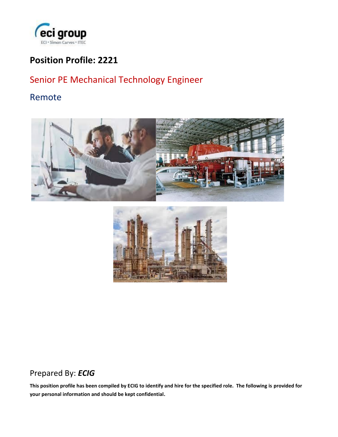

## **Position Profile: 2221**

# Senior PE Mechanical Technology Engineer

### Remote





## Prepared By: *ECIG*

**This position profile has been compiled by ECIG to identify and hire for the specified role. The following is provided for your personal information and should be kept confidential.**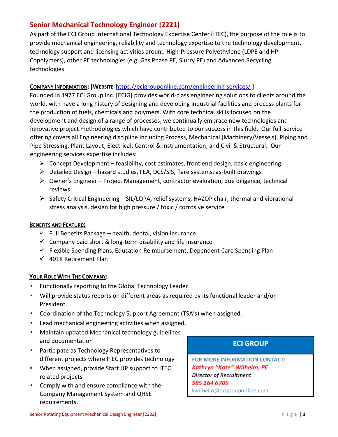### **Senior Mechanical Technology Engineer [2221]**

As part of the ECI Group International Technology Expertise Center (ITEC), the purpose of the role is to provide mechanical engineering, reliability and technology expertise to the technology development, technology support and licensing activities around High-Pressure Polyethylene (LDPE and HP Copolymers), other PE technologies (e.g. Gas Phase PE, Slurry PE) and Advanced Recycling technologies.

#### **COMPANY INFORMATION: [WEBSIT[E](https://ecigrouponline.com/engineering-services/)** <https://ecigrouponline.com/engineering-services/> ]

Founded in 1977 ECI Group Inc. [ECIG] provides world-class engineering solutions to clients around the world, with have a long history of designing and developing industrial facilities and process plants for the production of fuels, chemicals and polymers. With core technical skills focused on the development and design of a range of processes, we continually embrace new technologies and innovative project methodologies which have contributed to our success in this field. Our full-service offering covers all Engineering discipline including Process, Mechanical (Machinery/Vessels), Piping and Pipe Stressing, Plant Layout, Electrical, Control & Instrumentation, and Civil & Structural. Our engineering services expertise includes:

- $\triangleright$  Concept Development feasibility, cost estimates, front end design, basic engineering
- ➢ Detailed Design hazard studies, FEA, DCS/SIS, flare systems, as-built drawings
- ➢ Owner's Engineer Project Management, contractor evaluation, due diligence, technical reviews
- ➢ Safety Critical Engineering SIL/LOPA, relief systems, HAZOP chair, thermal and vibrational stress analysis, design for high pressure / toxic / corrosive service

#### **BENEFITS AND FEATURES**

- $\checkmark$  Full Benefits Package health, dental, vision insurance.
- $\checkmark$  Company paid short & long-term disability and life insurance
- $\checkmark$  Flexible Spending Plans, Education Reimbursement, Dependent Care Spending Plan
- $\checkmark$  401K Retirement Plan

#### **YOUR ROLE WITH THE COMPANY:**

- Functionally reporting to the Global Technology Leader
- Will provide status reports on different areas as required by its functional leader and/or President.
- Coordination of the Technology Support Agreement (TSA's) when assigned.
- Lead mechanical engineering activities when assigned.
- Maintain updated Mechanical technology guidelines and documentation
- Participate as Technology Representatives to different projects where ITEC provides technology
- When assigned, provide Start UP support to ITEC related projects
- Comply with and ensure compliance with the Company Management System and QHSE requirements.

### **ECI GROUP**

FOR MORE INFORMATION CONTACT: Kathryn "Kate" Wilhelm, PE **Director of Recruitment** 985 264 6709 kwilhelm@ecigrouponline.com